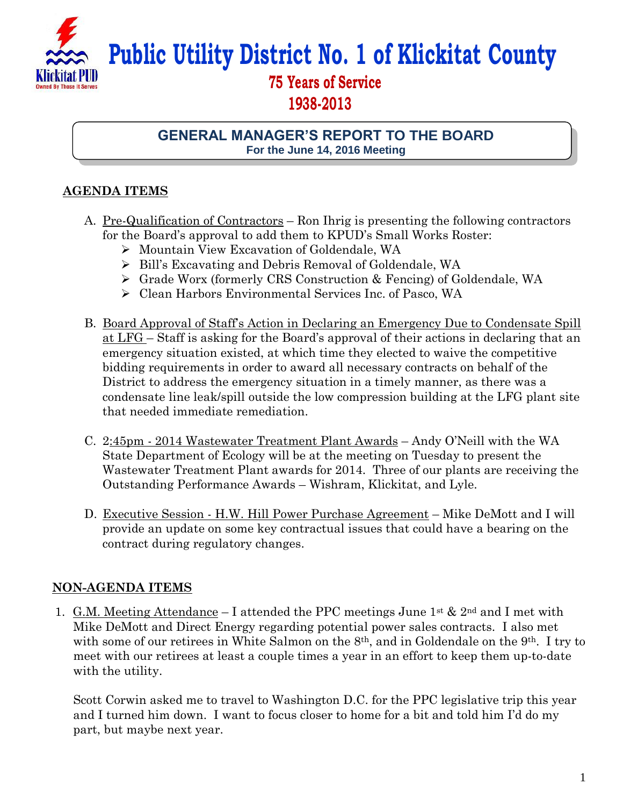

**Public Utility District No. 1 of Klickitat County**

## **75 Years of Service 1938-2013**

## **GENERAL MANAGER'S REPORT TO THE BOARD For the June 14, 2016 Meeting**

## **AGENDA ITEMS**

- A. Pre-Qualification of Contractors Ron Ihrig is presenting the following contractors for the Board's approval to add them to KPUD's Small Works Roster:
	- Mountain View Excavation of Goldendale, WA
	- Bill's Excavating and Debris Removal of Goldendale, WA
	- Grade Worx (formerly CRS Construction & Fencing) of Goldendale, WA
	- Clean Harbors Environmental Services Inc. of Pasco, WA
- B. Board Approval of Staff's Action in Declaring an Emergency Due to Condensate Spill at LFG – Staff is asking for the Board's approval of their actions in declaring that an emergency situation existed, at which time they elected to waive the competitive bidding requirements in order to award all necessary contracts on behalf of the District to address the emergency situation in a timely manner, as there was a condensate line leak/spill outside the low compression building at the LFG plant site that needed immediate remediation.
- C. 2:45pm 2014 Wastewater Treatment Plant Awards Andy O'Neill with the WA State Department of Ecology will be at the meeting on Tuesday to present the Wastewater Treatment Plant awards for 2014. Three of our plants are receiving the Outstanding Performance Awards – Wishram, Klickitat, and Lyle.
- D. Executive Session H.W. Hill Power Purchase Agreement Mike DeMott and I will provide an update on some key contractual issues that could have a bearing on the contract during regulatory changes.

## **NON-AGENDA ITEMS**

1. G.M. Meeting Attendance – I attended the PPC meetings June 1<sup>st</sup> & 2<sup>nd</sup> and I met with Mike DeMott and Direct Energy regarding potential power sales contracts. I also met with some of our retirees in White Salmon on the 8<sup>th</sup>, and in Goldendale on the 9<sup>th</sup>. I try to meet with our retirees at least a couple times a year in an effort to keep them up-to-date with the utility.

Scott Corwin asked me to travel to Washington D.C. for the PPC legislative trip this year and I turned him down. I want to focus closer to home for a bit and told him I'd do my part, but maybe next year.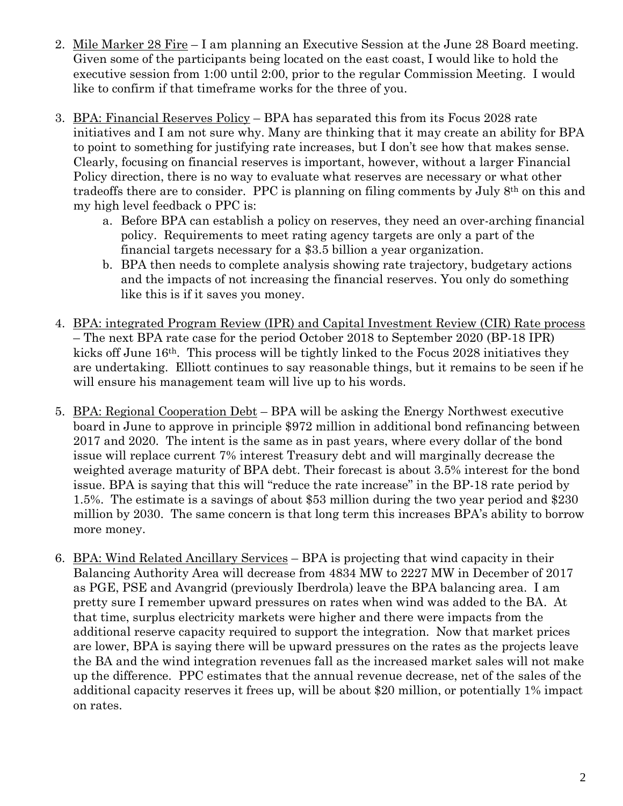- 2. Mile Marker 28 Fire I am planning an Executive Session at the June 28 Board meeting. Given some of the participants being located on the east coast, I would like to hold the executive session from 1:00 until 2:00, prior to the regular Commission Meeting. I would like to confirm if that timeframe works for the three of you.
- 3. BPA: Financial Reserves Policy BPA has separated this from its Focus 2028 rate initiatives and I am not sure why. Many are thinking that it may create an ability for BPA to point to something for justifying rate increases, but I don't see how that makes sense. Clearly, focusing on financial reserves is important, however, without a larger Financial Policy direction, there is no way to evaluate what reserves are necessary or what other tradeoffs there are to consider. PPC is planning on filing comments by July 8th on this and my high level feedback o PPC is:
	- a. Before BPA can establish a policy on reserves, they need an over-arching financial policy. Requirements to meet rating agency targets are only a part of the financial targets necessary for a \$3.5 billion a year organization.
	- b. BPA then needs to complete analysis showing rate trajectory, budgetary actions and the impacts of not increasing the financial reserves. You only do something like this is if it saves you money.
- 4. BPA: integrated Program Review (IPR) and Capital Investment Review (CIR) Rate process – The next BPA rate case for the period October 2018 to September 2020 (BP-18 IPR) kicks off June 16th. This process will be tightly linked to the Focus 2028 initiatives they are undertaking. Elliott continues to say reasonable things, but it remains to be seen if he will ensure his management team will live up to his words.
- 5. BPA: Regional Cooperation Debt BPA will be asking the Energy Northwest executive board in June to approve in principle \$972 million in additional bond refinancing between 2017 and 2020. The intent is the same as in past years, where every dollar of the bond issue will replace current 7% interest Treasury debt and will marginally decrease the weighted average maturity of BPA debt. Their forecast is about 3.5% interest for the bond issue. BPA is saying that this will "reduce the rate increase" in the BP-18 rate period by 1.5%. The estimate is a savings of about \$53 million during the two year period and \$230 million by 2030. The same concern is that long term this increases BPA's ability to borrow more money.
- 6. BPA: Wind Related Ancillary Services BPA is projecting that wind capacity in their Balancing Authority Area will decrease from 4834 MW to 2227 MW in December of 2017 as PGE, PSE and Avangrid (previously Iberdrola) leave the BPA balancing area. I am pretty sure I remember upward pressures on rates when wind was added to the BA. At that time, surplus electricity markets were higher and there were impacts from the additional reserve capacity required to support the integration. Now that market prices are lower, BPA is saying there will be upward pressures on the rates as the projects leave the BA and the wind integration revenues fall as the increased market sales will not make up the difference. PPC estimates that the annual revenue decrease, net of the sales of the additional capacity reserves it frees up, will be about \$20 million, or potentially 1% impact on rates.